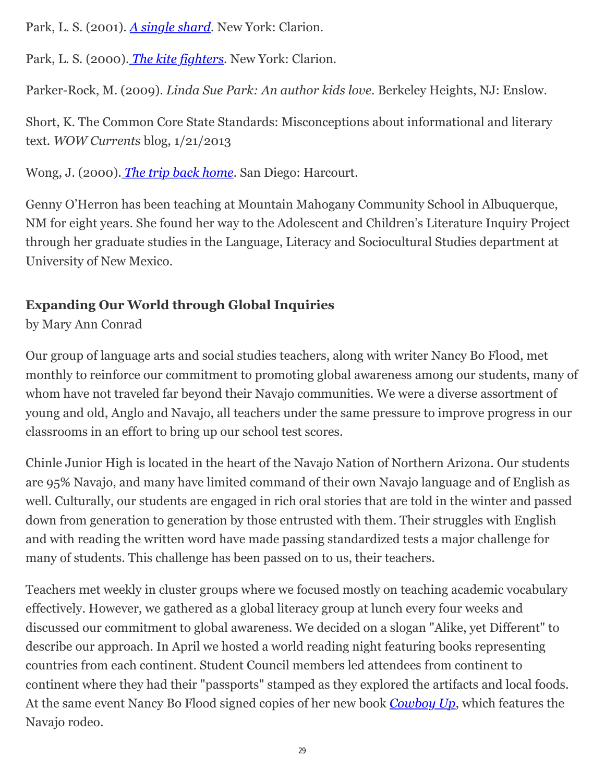Park, L. S. (2001). *A single shard*. New York: Clarion.

Park, L. S. (2000). *The kite fighters*. New York: Clarion.

Parker-Rock, M. (2009). *Linda Sue Park: An author kids love.* Berkeley Heights, NJ: Enslow.

Short, K. The Common Core State Standards: Misconceptions about informational and literary text*. WOW Currents* blog, 1/21/2013

Wong, J. (2000). *[The trip back home](http://wowlit.org/catalog/9780152007843/)*. San Diego: Harcourt.

Genny O'Herron has been teaching at Mountain Mahogany Community School in Albuquerque, NM for eight years. She found her way to the Adolescent and Children's Literature Inquiry Project through her graduate studies in the Language, Literacy and Sociocultural Studies department at University of New Mexico.

## **Expanding Our World through Global Inquiries**

by Mary Ann Conrad

Our group of language arts and social studies teachers, along with writer Nancy Bo Flood, met monthly to reinforce our commitment to promoting global awareness among our students, many of whom have not traveled far beyond their Navajo communities. We were a diverse assortment of young and old, Anglo and Navajo, all teachers under the same pressure to improve progress in our classrooms in an effort to bring up our school test scores.

Chinle Junior High is located in the heart of the Navajo Nation of Northern Arizona. Our students are 95% Navajo, and many have limited command of their own Navajo language and of English as well. Culturally, our students are engaged in rich oral stories that are told in the winter and passed down from generation to generation by those entrusted with them. Their struggles with English and with reading the written word have made passing standardized tests a major challenge for many of students. This challenge has been passed on to us, their teachers.

Teachers met weekly in cluster groups where we focused mostly on teaching academic vocabulary effectively. However, we gathered as a global literacy group at lunch every four weeks and discussed our commitment to global awareness. We decided on a slogan "Alike, yet Different" to describe our approach. In April we hosted a world reading night featuring books representing countries from each continent. Student Council members led attendees from continent to continent where they had their "passports" stamped as they explored the artifacts and local foods. At the same event Nancy Bo Flood signed copies of her new book *[Cowboy Up](http://wowlit.org/catalog/9781590788936/)*, which features the Navajo rodeo.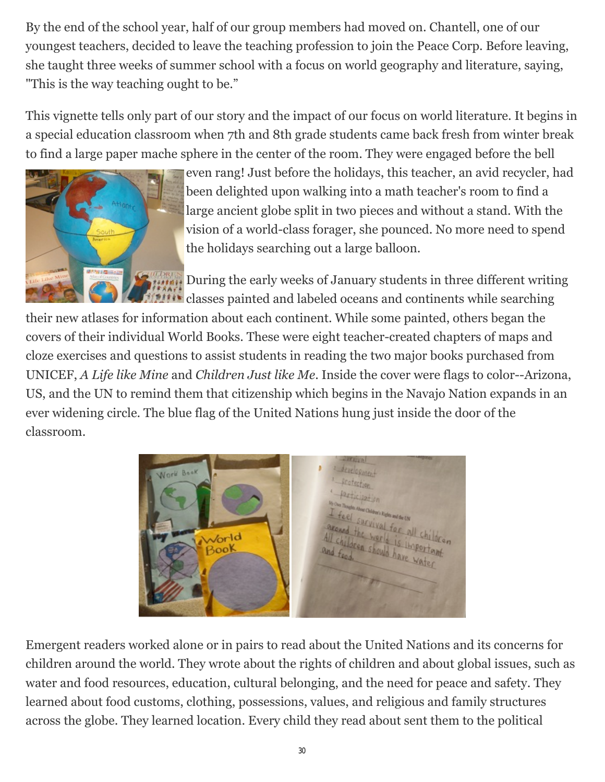By the end of the school year, half of our group members had moved on. Chantell, one of our youngest teachers, decided to leave the teaching profession to join the Peace Corp. Before leaving, she taught three weeks of summer school with a focus on world geography and literature, saying, "This is the way teaching ought to be."

This vignette tells only part of our story and the impact of our focus on world literature. It begins in a special education classroom when 7th and 8th grade students came back fresh from winter break to find a large paper mache sphere in the center of the room. They were engaged before the bell



even rang! Just before the holidays, this teacher, an avid recycler, had been delighted upon walking into a math teacher's room to find a large ancient globe split in two pieces and without a stand. With the vision of a world-class forager, she pounced. No more need to spend the holidays searching out a large balloon.

**COURSES** During the early weeks of January students in three different writing classes painted and labeled oceans and continents while searching

their new atlases for information about each continent. While some painted, others began the covers of their individual World Books. These were eight teacher-created chapters of maps and cloze exercises and questions to assist students in reading the two major books purchased from UNICEF, *A Life like Mine* and *Children Just like Me*. Inside the cover were flags to color--Arizona, US, and the UN to remind them that citizenship which begins in the Navajo Nation expands in an ever widening circle. The blue flag of the United Nations hung just inside the door of the classroom.



Emergent readers worked alone or in pairs to read about the United Nations and its concerns for children around the world. They wrote about the rights of children and about global issues, such as water and food resources, education, cultural belonging, and the need for peace and safety. They learned about food customs, clothing, possessions, values, and religious and family structures across the globe. They learned location. Every child they read about sent them to the political